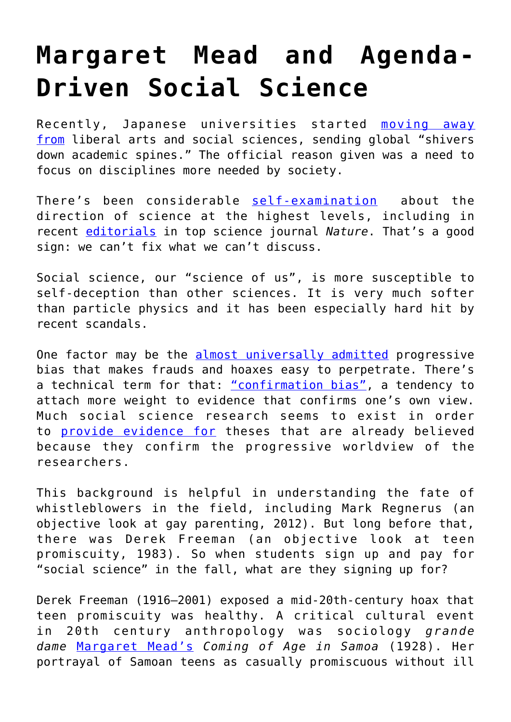## **[Margaret Mead and Agenda-](https://intellectualtakeout.org/2016/08/margaret-mead-and-agenda-driven-social-science/)[Driven Social Science](https://intellectualtakeout.org/2016/08/margaret-mead-and-agenda-driven-social-science/)**

Recently, Japanese universities started **[moving away](http://www.therebel.media/here_s_why_japanese_universities)** [from](http://www.therebel.media/here_s_why_japanese_universities) liberal arts and social sciences, sending global "shivers down academic spines." The official reason given was a need to focus on disciplines more needed by society.

There's been considerable [self-examination](http://www.nature.com/news/let-s-make-peer-review-scientific-1.20194) about the direction of science at the highest levels, including in recent [editorials](http://www.nature.com/news/time-to-remodel-the-journal-impact-factor-1.20332) in top science journal *Nature*. That's a good sign: we can't fix what we can't discuss.

Social science, our "science of us", is more susceptible to self-deception than other sciences. It is very much softer than particle physics and it has been especially hard hit by recent scandals.

One factor may be the [almost universally admitted](http://www.scientificamerican.com/article/is-social-science-politically-biased/) progressive bias that makes frauds and hoaxes easy to perpetrate. There's a technical term for that: ["confirmation bias"](https://www.sciencedaily.com/terms/confirmation_bias.htm), a tendency to attach more weight to evidence that confirms one's own view. Much social science research seems to exist in order to [provide evidence for](http://www.theatlantic.com/magazine/archive/2014/03/the-war-on-reason/357561/) theses that are already believed because they confirm the progressive worldview of the researchers.

This background is helpful in understanding the fate of whistleblowers in the field, including Mark Regnerus (an objective look at gay parenting, 2012). But long before that, there was Derek Freeman (an objective look at teen promiscuity, 1983). So when students sign up and pay for "social science" in the fall, what are they signing up for?

Derek Freeman (1916–2001) exposed a mid-20th-century hoax that teen promiscuity was healthy. A critical cultural event in 20th century anthropology was sociology *grande dame* [Margaret Mead's](http://www.interculturalstudies.org/Mead/biography.html) *Coming of Age in Samoa* (1928). Her portrayal of Samoan teens as casually promiscuous without ill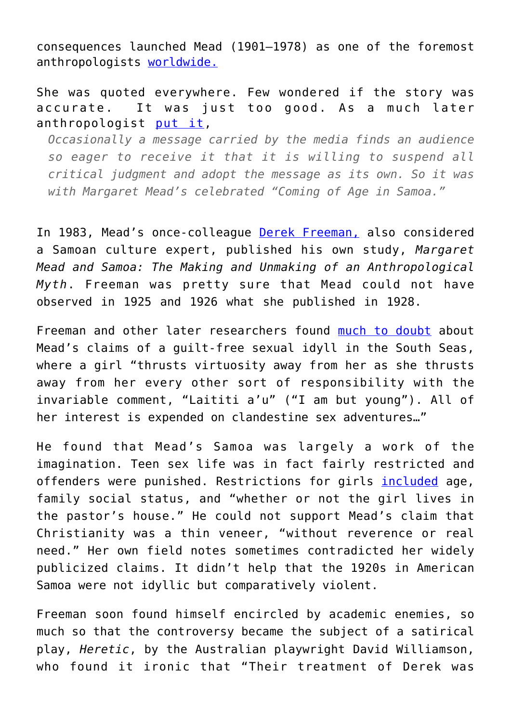consequences launched Mead (1901–1978) as one of the foremost anthropologists [worldwide.](http://faculty.usfsp.edu/jsokolov/314mead1.htm)

She was quoted everywhere. Few wondered if the story was accurate. It was just too good. As a much later anthropologist [put it](https://www.questia.com/library/96334223/not-even-wrong-margaret-mead-derek-freeman-and),

*Occasionally a message carried by the media finds an audience so eager to receive it that it is willing to suspend all critical judgment and adopt the message as its own. So it was with Margaret Mead's celebrated "Coming of Age in Samoa."*

In 1983, Mead's once-colleague [Derek Freeman,](http://www.nytimes.com/2001/08/05/world/derek-freeman-who-challenged-margaret-mead-on-samoa-dies-at-84.html) also considered a Samoan culture expert, published his own study, *Margaret Mead and Samoa: The Making and Unmaking of an Anthropological Myth*. Freeman was pretty sure that Mead could not have observed in 1925 and 1926 what she published in 1928.

Freeman and other later researchers found [much to doubt](http://faculty.usfsp.edu/jsokolov/314mead1.htm) about Mead's claims of a guilt-free sexual idyll in the South Seas, where a girl "thrusts virtuosity away from her as she thrusts away from her every other sort of responsibility with the invariable comment, "Laititi a'u" ("I am but young"). All of her interest is expended on clandestine sex adventures…"

He found that Mead's Samoa was largely a work of the imagination. Teen sex life was in fact fairly restricted and offenders were punished. Restrictions for girls [included](http://faculty.usfsp.edu/jsokolov/314mead1.htm) age, family social status, and "whether or not the girl lives in the pastor's house." He could not support Mead's claim that Christianity was a thin veneer, "without reverence or real need." Her own field notes sometimes contradicted her widely publicized claims. It didn't help that the 1920s in American Samoa were not idyllic but comparatively violent.

Freeman soon found himself encircled by academic enemies, so much so that the controversy became the subject of a satirical play, *Heretic*, by the Australian playwright David Williamson, who found it ironic that "Their treatment of Derek was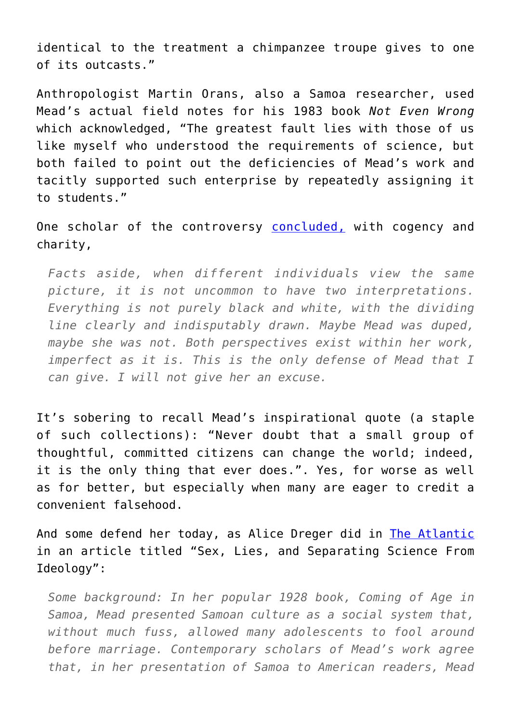identical to the treatment a chimpanzee troupe gives to one of its outcasts."

Anthropologist Martin Orans, also a Samoa researcher, used Mead's actual field notes for his 1983 book *Not Even Wrong* which acknowledged, "The greatest fault lies with those of us like myself who understood the requirements of science, but both failed to point out the deficiencies of Mead's work and tacitly supported such enterprise by repeatedly assigning it to students."

One scholar of the controversy [concluded,](http://faculty.usfsp.edu/jsokolov/314mead1.htm) with cogency and charity,

*Facts aside, when different individuals view the same picture, it is not uncommon to have two interpretations. Everything is not purely black and white, with the dividing line clearly and indisputably drawn. Maybe Mead was duped, maybe she was not. Both perspectives exist within her work, imperfect as it is. This is the only defense of Mead that I can give. I will not give her an excuse.*

It's sobering to recall Mead's inspirational quote (a staple of such collections): "Never doubt that a small group of thoughtful, committed citizens can change the world; indeed, it is the only thing that ever does.". Yes, for worse as well as for better, but especially when many are eager to credit a convenient falsehood.

And some defend her today, as Alice Dreger did in [The Atlantic](http://www.theatlantic.com/health/archive/2013/02/sex-lies-and-separating-science-from-ideology/273169/) in an article titled "Sex, Lies, and Separating Science From Ideology":

*Some background: In her popular 1928 book, Coming of Age in Samoa, Mead presented Samoan culture as a social system that, without much fuss, allowed many adolescents to fool around before marriage. Contemporary scholars of Mead's work agree that, in her presentation of Samoa to American readers, Mead*